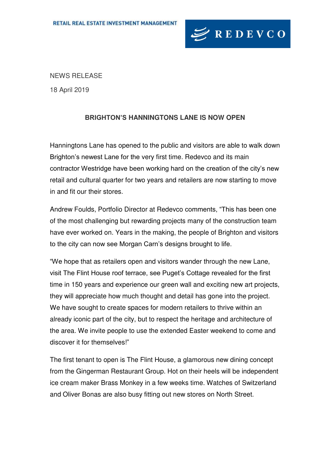

NEWS RELEASE

18 April 2019

## **BRIGHTON'S HANNINGTONS LANE IS NOW OPEN**

Hanningtons Lane has opened to the public and visitors are able to walk down Brighton's newest Lane for the very first time. Redevco and its main contractor Westridge have been working hard on the creation of the city's new retail and cultural quarter for two years and retailers are now starting to move in and fit our their stores.

Andrew Foulds, Portfolio Director at Redevco comments, "This has been one of the most challenging but rewarding projects many of the construction team have ever worked on. Years in the making, the people of Brighton and visitors to the city can now see Morgan Carn's designs brought to life.

"We hope that as retailers open and visitors wander through the new Lane, visit The Flint House roof terrace, see Puget's Cottage revealed for the first time in 150 years and experience our green wall and exciting new art projects, they will appreciate how much thought and detail has gone into the project. We have sought to create spaces for modern retailers to thrive within an already iconic part of the city, but to respect the heritage and architecture of the area. We invite people to use the extended Easter weekend to come and discover it for themselves!"

The first tenant to open is The Flint House, a glamorous new dining concept from the Gingerman Restaurant Group. Hot on their heels will be independent ice cream maker Brass Monkey in a few weeks time. Watches of Switzerland and Oliver Bonas are also busy fitting out new stores on North Street.